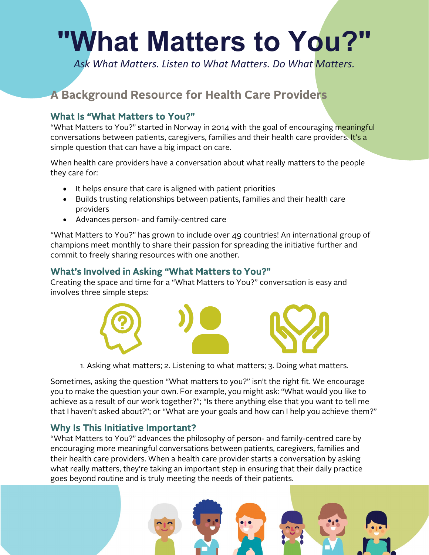# **"What Matters to You?"**

*Ask What Matters. Listen to What Matters. Do What Matters.*

# A Background Resource for Health Care Providers

#### What Is "What Matters to You?"

"What Matters to You?" started in Norway in 2014 with the goal of encouraging meaningful conversations between patients, caregivers, families and their health care providers. It's a simple question that can have a big impact on care.

When health care providers have a conversation about what really matters to the people they care for:

- It helps ensure that care is aligned with patient priorities
- Builds trusting relationships between patients, families and their health care providers
- Advances person- and family-centred care

"What Matters to You?" has grown to include over 49 countries! An international group of champions meet monthly to share their passion for spreading the initiative further and commit to freely sharing resources with one another.

### What's Involved in Asking "What Matters to You?"

Creating the space and time for a "What Matters to You?" conversation is easy and involves three simple steps:



1. Asking what matters; 2. Listening to what matters; 3. Doing what matters.

Sometimes, asking the question "What matters to you?" isn't the right fit. We encourage you to make the question your own. For example, you might ask: "What would you like to achieve as a result of our work together?"; "Is there anything else that you want to tell me that I haven't asked about?"; or "What are your goals and how can I help you achieve them?"

#### Why Is This Initiative Important?

"What Matters to You?" advances the philosophy of person- and family-centred care by encouraging more meaningful conversations between patients, caregivers, families and their health care providers. When a health care provider starts a conversation by asking what really matters, they're taking an important step in ensuring that their daily practice goes beyond routine and is truly meeting the needs of their patients.